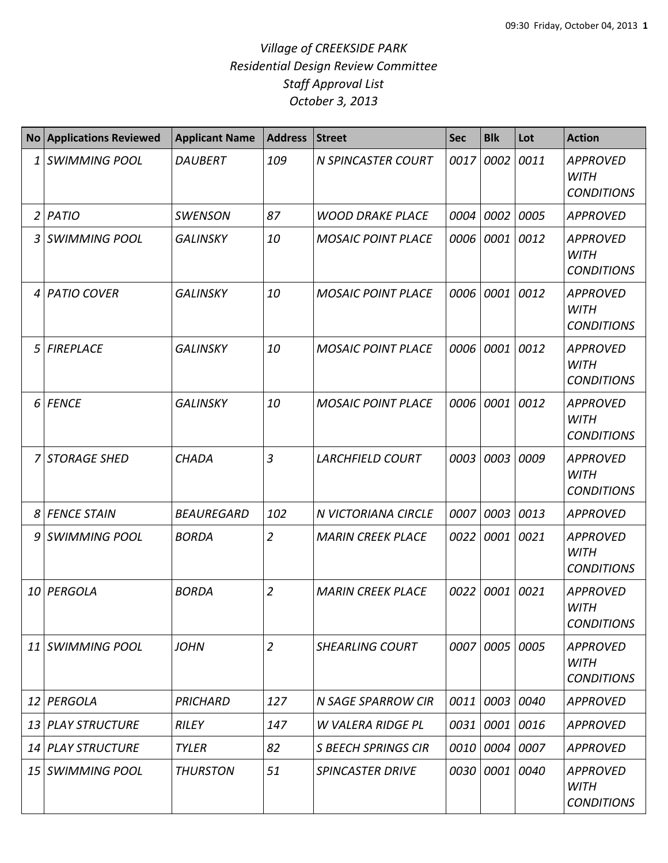## *Village of CREEKSIDE PARK Residential Design Review Committee Staff Approval List October 3, 2013*

|   | <b>No Applications Reviewed</b> | <b>Applicant Name</b> | <b>Address</b> | <b>Street</b>             | <b>Sec</b> | <b>Blk</b> | Lot       | <b>Action</b>                                       |
|---|---------------------------------|-----------------------|----------------|---------------------------|------------|------------|-----------|-----------------------------------------------------|
|   | 1 SWIMMING POOL                 | <b>DAUBERT</b>        | 109            | <b>N SPINCASTER COURT</b> | 0017       | 0002       | 0011      | <b>APPROVED</b><br><b>WITH</b><br><b>CONDITIONS</b> |
|   | $2$ PATIO                       | <b>SWENSON</b>        | 87             | <b>WOOD DRAKE PLACE</b>   | 0004       | 0002       | 0005      | <b>APPROVED</b>                                     |
|   | 3 SWIMMING POOL                 | <b>GALINSKY</b>       | 10             | <b>MOSAIC POINT PLACE</b> | 0006       | 0001 0012  |           | <b>APPROVED</b><br><b>WITH</b><br><b>CONDITIONS</b> |
| 4 | <b>PATIO COVER</b>              | <b>GALINSKY</b>       | 10             | <b>MOSAIC POINT PLACE</b> | 0006       | 0001       | 0012      | <b>APPROVED</b><br><b>WITH</b><br><b>CONDITIONS</b> |
| 5 | <b>FIREPLACE</b>                | <b>GALINSKY</b>       | 10             | <b>MOSAIC POINT PLACE</b> | 0006       | 0001 0012  |           | <b>APPROVED</b><br><b>WITH</b><br><b>CONDITIONS</b> |
|   | 6 FENCE                         | <b>GALINSKY</b>       | 10             | <b>MOSAIC POINT PLACE</b> | 0006       | 0001       | 0012      | <b>APPROVED</b><br><b>WITH</b><br><b>CONDITIONS</b> |
|   | 7 STORAGE SHED                  | <b>CHADA</b>          | $\overline{3}$ | <b>LARCHFIELD COURT</b>   | 0003       | 0003       | 0009      | <b>APPROVED</b><br><b>WITH</b><br><b>CONDITIONS</b> |
|   | 8 FENCE STAIN                   | <b>BEAUREGARD</b>     | 102            | N VICTORIANA CIRCLE       | 0007       | 0003       | 0013      | <b>APPROVED</b>                                     |
|   | 9 SWIMMING POOL                 | <b>BORDA</b>          | $\overline{2}$ | <b>MARIN CREEK PLACE</b>  | 0022       | 0001       | 0021      | <b>APPROVED</b><br><b>WITH</b><br><b>CONDITIONS</b> |
|   | 10 PERGOLA                      | <b>BORDA</b>          | $\overline{2}$ | <b>MARIN CREEK PLACE</b>  | 0022       | 0001       | 0021      | <b>APPROVED</b><br><b>WITH</b><br><b>CONDITIONS</b> |
|   | 11 SWIMMING POOL                | <b>JOHN</b>           | $\overline{2}$ | <b>SHEARLING COURT</b>    | 0007       | 0005 0005  |           | <b>APPROVED</b><br>WITH<br><b>CONDITIONS</b>        |
|   | 12 PERGOLA                      | PRICHARD              | 127            | <b>N SAGE SPARROW CIR</b> | 0011       |            | 0003 0040 | <b>APPROVED</b>                                     |
|   | 13 PLAY STRUCTURE               | <b>RILEY</b>          | 147            | <b>W VALERA RIDGE PL</b>  | 0031       | 0001 0016  |           | <b>APPROVED</b>                                     |
|   | 14 PLAY STRUCTURE               | <b>TYLER</b>          | 82             | S BEECH SPRINGS CIR       | 0010       | 0004 0007  |           | <b>APPROVED</b>                                     |
|   | 15 SWIMMING POOL                | <b>THURSTON</b>       | 51             | <b>SPINCASTER DRIVE</b>   | 0030       | 0001 0040  |           | <b>APPROVED</b><br><b>WITH</b><br><b>CONDITIONS</b> |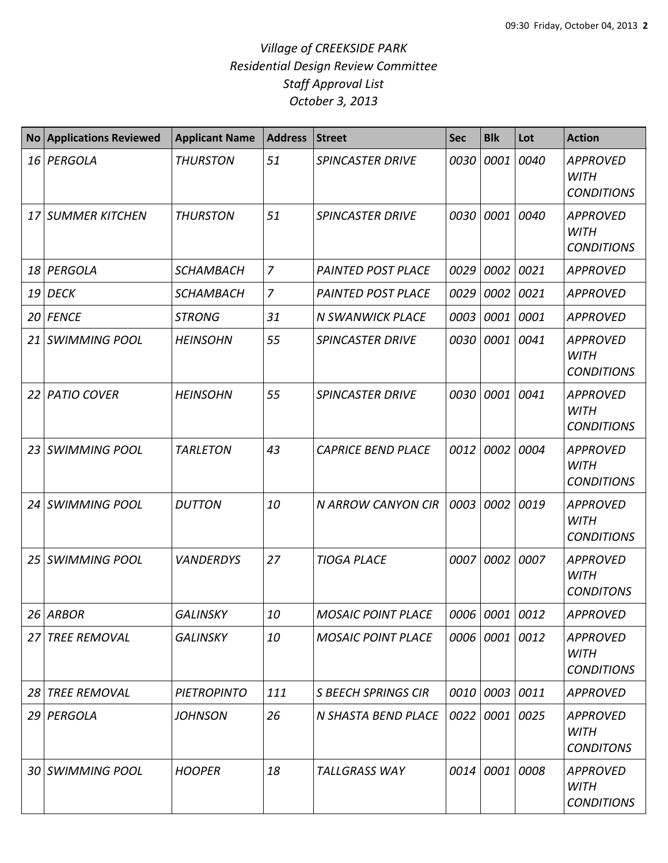## *Village of CREEKSIDE PARK Residential Design Review Committee Staff Approval List October 3, 2013*

| <b>No</b> | <b>Applications Reviewed</b> | <b>Applicant Name</b> | <b>Address</b> | <b>Street</b>              | <b>Sec</b> | <b>Blk</b>     | Lot  | <b>Action</b>                                       |
|-----------|------------------------------|-----------------------|----------------|----------------------------|------------|----------------|------|-----------------------------------------------------|
| 16        | PERGOLA                      | <b>THURSTON</b>       | 51             | <b>SPINCASTER DRIVE</b>    | 0030       | 0001           | 0040 | <b>APPROVED</b><br><b>WITH</b><br><b>CONDITIONS</b> |
| 17        | <b>SUMMER KITCHEN</b>        | <b>THURSTON</b>       | 51             | <b>SPINCASTER DRIVE</b>    | 0030       | 0001           | 0040 | <b>APPROVED</b><br><b>WITH</b><br><b>CONDITIONS</b> |
| 18        | PERGOLA                      | <b>SCHAMBACH</b>      | $\overline{7}$ | <b>PAINTED POST PLACE</b>  | 0029       | 0002           | 0021 | <b>APPROVED</b>                                     |
| 19        | <b>DECK</b>                  | <b>SCHAMBACH</b>      | $\overline{7}$ | <b>PAINTED POST PLACE</b>  | 0029       | 0002           | 0021 | <b>APPROVED</b>                                     |
| 20        | <b>FENCE</b>                 | <b>STRONG</b>         | 31             | <b>N SWANWICK PLACE</b>    | 0003       | 0001 0001      |      | <b>APPROVED</b>                                     |
| 21        | <b>SWIMMING POOL</b>         | <b>HEINSOHN</b>       | 55             | <b>SPINCASTER DRIVE</b>    | 0030       | 0001           | 0041 | <b>APPROVED</b><br><b>WITH</b><br><b>CONDITIONS</b> |
| 22        | <b>PATIO COVER</b>           | <b>HEINSOHN</b>       | 55             | <b>SPINCASTER DRIVE</b>    | 0030       | 0001           | 0041 | <b>APPROVED</b><br><b>WITH</b><br><b>CONDITIONS</b> |
| 23        | <b>SWIMMING POOL</b>         | <b>TARLETON</b>       | 43             | <b>CAPRICE BEND PLACE</b>  | 0012       | 0002           | 0004 | <b>APPROVED</b><br><b>WITH</b><br><b>CONDITIONS</b> |
| 24        | <b>SWIMMING POOL</b>         | <b>DUTTON</b>         | 10             | N ARROW CANYON CIR         | 0003       | 0002           | 0019 | <b>APPROVED</b><br><b>WITH</b><br><b>CONDITIONS</b> |
| 25        | <b>SWIMMING POOL</b>         | <b>VANDERDYS</b>      | 27             | <b>TIOGA PLACE</b>         | 0007       | 0002           | 0007 | <b>APPROVED</b><br><b>WITH</b><br><b>CONDITONS</b>  |
|           | 26 ARBOR                     | <b>GALINSKY</b>       | 10             | <b>MOSAIC POINT PLACE</b>  |            | 0006 0001 0012 |      | <b>APPROVED</b>                                     |
| 27        | <b>TREE REMOVAL</b>          | <b>GALINSKY</b>       | 10             | <b>MOSAIC POINT PLACE</b>  |            | 0006 0001 0012 |      | <b>APPROVED</b><br><b>WITH</b><br><b>CONDITIONS</b> |
| 28        | <b>TREE REMOVAL</b>          | <b>PIETROPINTO</b>    | 111            | <b>S BEECH SPRINGS CIR</b> | 0010       | 0003 0011      |      | APPROVED                                            |
| 29        | PERGOLA                      | <b>JOHNSON</b>        | 26             | N SHASTA BEND PLACE        | 0022       | 0001 0025      |      | <b>APPROVED</b><br><b>WITH</b><br><b>CONDITONS</b>  |
|           | 30 SWIMMING POOL             | <b>HOOPER</b>         | 18             | <b>TALLGRASS WAY</b>       | 0014       | 0001 0008      |      | <b>APPROVED</b><br><b>WITH</b><br><b>CONDITIONS</b> |